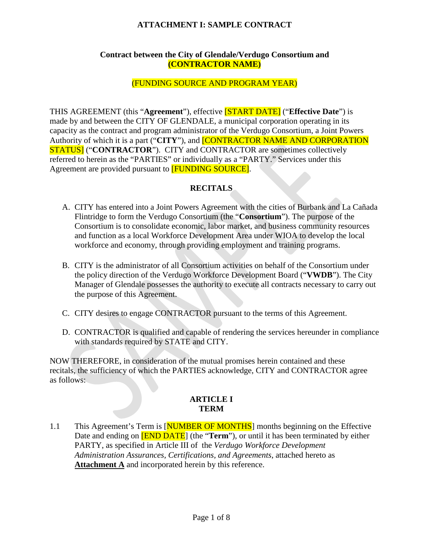## **Contract between the City of Glendale/Verdugo Consortium and (CONTRACTOR NAME)**

# (FUNDING SOURCE AND PROGRAM YEAR)

THIS AGREEMENT (this "**Agreement**"), effective [START DATE] ("**Effective Date**") is made by and between the CITY OF GLENDALE, a municipal corporation operating in its capacity as the contract and program administrator of the Verdugo Consortium, a Joint Powers Authority of which it is a part ("**CITY**"), and [CONTRACTOR NAME AND CORPORATION **STATUS** ("**CONTRACTOR**"). CITY and CONTRACTOR are sometimes collectively referred to herein as the "PARTIES" or individually as a "PARTY." Services under this Agreement are provided pursuant to [FUNDING SOURCE].

# **RECITALS**

- A. CITY has entered into a Joint Powers Agreement with the cities of Burbank and La Cañada Flintridge to form the Verdugo Consortium (the "**Consortium**"). The purpose of the Consortium is to consolidate economic, labor market, and business community resources and function as a local Workforce Development Area under WIOA to develop the local workforce and economy, through providing employment and training programs.
- B. CITY is the administrator of all Consortium activities on behalf of the Consortium under the policy direction of the Verdugo Workforce Development Board ("**VWDB**"). The City Manager of Glendale possesses the authority to execute all contracts necessary to carry out the purpose of this Agreement.
- C. CITY desires to engage CONTRACTOR pursuant to the terms of this Agreement.
- D. CONTRACTOR is qualified and capable of rendering the services hereunder in compliance with standards required by STATE and CITY.

NOW THEREFORE, in consideration of the mutual promises herein contained and these recitals, the sufficiency of which the PARTIES acknowledge, CITY and CONTRACTOR agree as follows:

#### **ARTICLE I TERM**

1.1 This Agreement's Term is [NUMBER OF MONTHS] months beginning on the Effective Date and ending on **[END DATE**] (the "**Term**"), or until it has been terminated by either PARTY, as specified in Article III of the *Verdugo Workforce Development Administration Assurances, Certifications, and Agreements*, attached hereto as **Attachment A** and incorporated herein by this reference.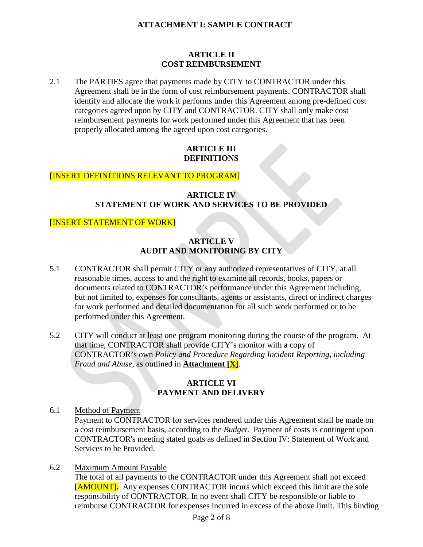#### **ARTICLE II COST REIMBURSEMENT**

2.1 The PARTIES agree that payments made by CITY to CONTRACTOR under this Agreement shall be in the form of cost reimbursement payments. CONTRACTOR shall identify and allocate the work it performs under this Agreement among pre-defined cost categories agreed upon by CITY and CONTRACTOR. CITY shall only make cost reimbursement payments for work performed under this Agreement that has been properly allocated among the agreed upon cost categories.

## **ARTICLE III DEFINITIONS**

# [INSERT DEFINITIONS RELEVANT TO PROGRAM]

# **ARTICLE IV STATEMENT OF WORK AND SERVICES TO BE PROVIDED**

# [INSERT STATEMENT OF WORK]

# **ARTICLE V AUDIT AND MONITORING BY CITY**

- 5.1 CONTRACTOR shall permit CITY or any authorized representatives of CITY, at all reasonable times, access to and the right to examine all records, books, papers or documents related to CONTRACTOR's performance under this Agreement including, but not limited to, expenses for consultants, agents or assistants, direct or indirect charges for work performed and detailed documentation for all such work performed or to be performed under this Agreement.
- 5.2 CITY will conduct at least one program monitoring during the course of the program. At that time, CONTRACTOR shall provide CITY's monitor with a copy of CONTRACTOR's own *Policy and Procedure Regarding Incident Reporting, including Fraud and Abuse*, as outlined in **Attachment [X]**.

# **ARTICLE VI PAYMENT AND DELIVERY**

6.1 Method of Payment

Payment to CONTRACTOR for services rendered under this Agreement shall be made on a cost reimbursement basis, according to the *Budget*. Payment of costs is contingent upon CONTRACTOR's meeting stated goals as defined in Section IV: Statement of Work and Services to be Provided.

6.2 Maximum Amount Payable

The total of all payments to the CONTRACTOR under this Agreement shall not exceed [AMOUNT]**.** Any expenses CONTRACTOR incurs which exceed this limit are the sole responsibility of CONTRACTOR. In no event shall CITY be responsible or liable to reimburse CONTRACTOR for expenses incurred in excess of the above limit. This binding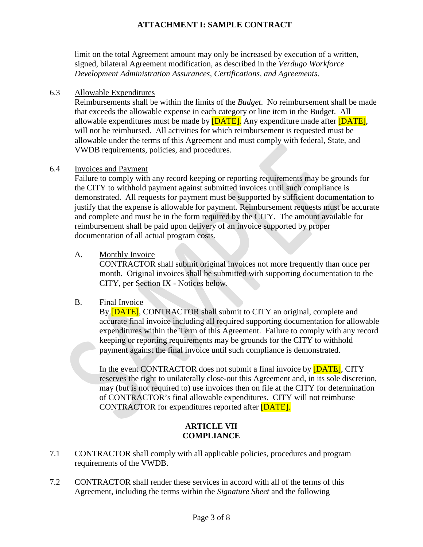limit on the total Agreement amount may only be increased by execution of a written, signed, bilateral Agreement modification, as described in the *Verdugo Workforce Development Administration Assurances, Certifications, and Agreements*.

#### 6.3 Allowable Expenditures

Reimbursements shall be within the limits of the *Budget*. No reimbursement shall be made that exceeds the allowable expense in each category or line item in the Budget. All allowable expenditures must be made by **[DATE]**. Any expenditure made after **[DATE]**, will not be reimbursed. All activities for which reimbursement is requested must be allowable under the terms of this Agreement and must comply with federal, State, and VWDB requirements, policies, and procedures.

#### 6.4 Invoices and Payment

Failure to comply with any record keeping or reporting requirements may be grounds for the CITY to withhold payment against submitted invoices until such compliance is demonstrated. All requests for payment must be supported by sufficient documentation to justify that the expense is allowable for payment. Reimbursement requests must be accurate and complete and must be in the form required by the CITY. The amount available for reimbursement shall be paid upon delivery of an invoice supported by proper documentation of all actual program costs.

#### A. Monthly Invoice

CONTRACTOR shall submit original invoices not more frequently than once per month. Original invoices shall be submitted with supporting documentation to the CITY, per Section IX - Notices below.

#### B. Final Invoice

By **[DATE]**, CONTRACTOR shall submit to CITY an original, complete and accurate final invoice including all required supporting documentation for allowable expenditures within the Term of this Agreement. Failure to comply with any record keeping or reporting requirements may be grounds for the CITY to withhold payment against the final invoice until such compliance is demonstrated.

In the event CONTRACTOR does not submit a final invoice by **[DATE]**, CITY reserves the right to unilaterally close-out this Agreement and, in its sole discretion, may (but is not required to) use invoices then on file at the CITY for determination of CONTRACTOR's final allowable expenditures. CITY will not reimburse CONTRACTOR for expenditures reported after [DATE].

# **ARTICLE VII COMPLIANCE**

- 7.1 CONTRACTOR shall comply with all applicable policies, procedures and program requirements of the VWDB.
- 7.2 CONTRACTOR shall render these services in accord with all of the terms of this Agreement, including the terms within the *Signature Sheet* and the following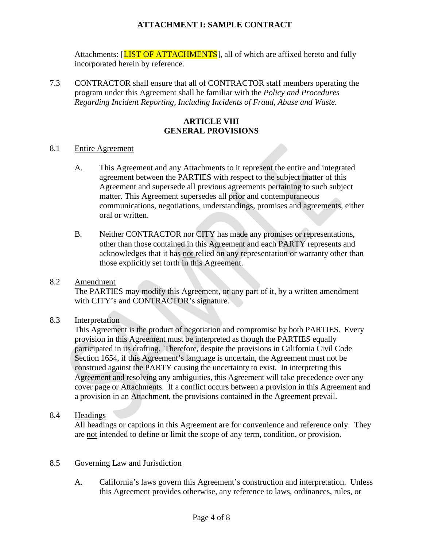Attachments: [LIST OF ATTACHMENTS], all of which are affixed hereto and fully incorporated herein by reference.

7.3 CONTRACTOR shall ensure that all of CONTRACTOR staff members operating the program under this Agreement shall be familiar with the *Policy and Procedures Regarding Incident Reporting, Including Incidents of Fraud, Abuse and Waste.*

# **ARTICLE VIII GENERAL PROVISIONS**

#### 8.1 Entire Agreement

- A. This Agreement and any Attachments to it represent the entire and integrated agreement between the PARTIES with respect to the subject matter of this Agreement and supersede all previous agreements pertaining to such subject matter. This Agreement supersedes all prior and contemporaneous communications, negotiations, understandings, promises and agreements, either oral or written.
- B. Neither CONTRACTOR nor CITY has made any promises or representations, other than those contained in this Agreement and each PARTY represents and acknowledges that it has not relied on any representation or warranty other than those explicitly set forth in this Agreement.

#### 8.2 Amendment

The PARTIES may modify this Agreement, or any part of it, by a written amendment with CITY's and CONTRACTOR's signature.

#### 8.3 Interpretation

This Agreement is the product of negotiation and compromise by both PARTIES. Every provision in this Agreement must be interpreted as though the PARTIES equally participated in its drafting. Therefore, despite the provisions in California Civil Code Section 1654, if this Agreement's language is uncertain, the Agreement must not be construed against the PARTY causing the uncertainty to exist. In interpreting this Agreement and resolving any ambiguities, this Agreement will take precedence over any cover page or Attachments. If a conflict occurs between a provision in this Agreement and a provision in an Attachment, the provisions contained in the Agreement prevail.

#### 8.4 Headings

All headings or captions in this Agreement are for convenience and reference only. They are not intended to define or limit the scope of any term, condition, or provision.

#### 8.5 Governing Law and Jurisdiction

A. California's laws govern this Agreement's construction and interpretation. Unless this Agreement provides otherwise, any reference to laws, ordinances, rules, or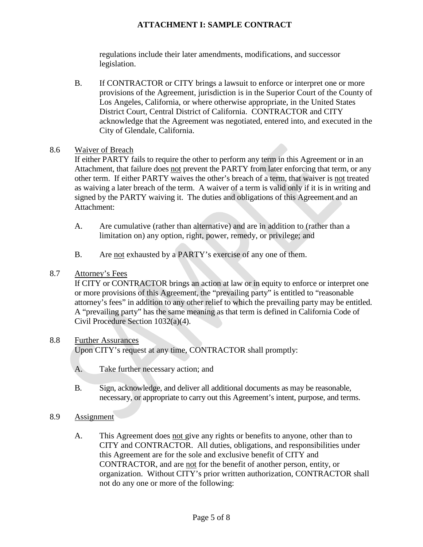regulations include their later amendments, modifications, and successor legislation.

B. If CONTRACTOR or CITY brings a lawsuit to enforce or interpret one or more provisions of the Agreement, jurisdiction is in the Superior Court of the County of Los Angeles, California, or where otherwise appropriate, in the United States District Court, Central District of California. CONTRACTOR and CITY acknowledge that the Agreement was negotiated, entered into, and executed in the City of Glendale, California.

#### 8.6 Waiver of Breach

If either PARTY fails to require the other to perform any term in this Agreement or in an Attachment, that failure does not prevent the PARTY from later enforcing that term, or any other term. If either PARTY waives the other's breach of a term, that waiver is not treated as waiving a later breach of the term. A waiver of a term is valid only if it is in writing and signed by the PARTY waiving it. The duties and obligations of this Agreement and an Attachment:

- A. Are cumulative (rather than alternative) and are in addition to (rather than a limitation on) any option, right, power, remedy, or privilege; and
- B. Are not exhausted by a PARTY's exercise of any one of them.

# 8.7 Attorney's Fees

If CITY or CONTRACTOR brings an action at law or in equity to enforce or interpret one or more provisions of this Agreement, the "prevailing party" is entitled to "reasonable attorney's fees" in addition to any other relief to which the prevailing party may be entitled. A "prevailing party" has the same meaning as that term is defined in California Code of Civil Procedure Section 1032(a)(4).

# 8.8 Further Assurances

Upon CITY's request at any time, CONTRACTOR shall promptly:

- A. Take further necessary action; and
- B. Sign, acknowledge, and deliver all additional documents as may be reasonable, necessary, or appropriate to carry out this Agreement's intent, purpose, and terms.

# 8.9 Assignment

A. This Agreement does not give any rights or benefits to anyone, other than to CITY and CONTRACTOR. All duties, obligations, and responsibilities under this Agreement are for the sole and exclusive benefit of CITY and CONTRACTOR, and are not for the benefit of another person, entity, or organization. Without CITY's prior written authorization, CONTRACTOR shall not do any one or more of the following: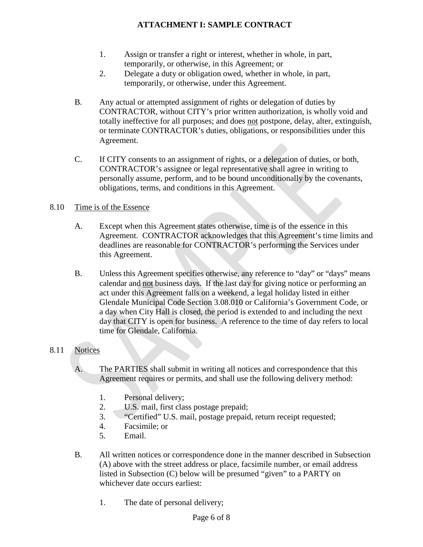- 1. Assign or transfer a right or interest, whether in whole, in part, temporarily, or otherwise, in this Agreement; or
- 2. Delegate a duty or obligation owed, whether in whole, in part, temporarily, or otherwise, under this Agreement.
- B. Any actual or attempted assignment of rights or delegation of duties by CONTRACTOR, without CITY's prior written authorization, is wholly void and totally ineffective for all purposes; and does not postpone, delay, alter, extinguish, or terminate CONTRACTOR's duties, obligations, or responsibilities under this Agreement.
- C. If CITY consents to an assignment of rights, or a delegation of duties, or both, CONTRACTOR's assignee or legal representative shall agree in writing to personally assume, perform, and to be bound unconditionally by the covenants, obligations, terms, and conditions in this Agreement.

# 8.10 Time is of the Essence

- A. Except when this Agreement states otherwise, time is of the essence in this Agreement. CONTRACTOR acknowledges that this Agreement's time limits and deadlines are reasonable for CONTRACTOR's performing the Services under this Agreement.
- B. Unless this Agreement specifies otherwise, any reference to "day" or "days" means calendar and not business days. If the last day for giving notice or performing an act under this Agreement falls on a weekend, a legal holiday listed in either Glendale Municipal Code Section 3.08.010 or California's Government Code, or a day when City Hall is closed, the period is extended to and including the next day that CITY is open for business. A reference to the time of day refers to local time for Glendale, California.

# 8.11 Notices

- A. The PARTIES shall submit in writing all notices and correspondence that this Agreement requires or permits, and shall use the following delivery method:
	- 1. Personal delivery;
	- 2. U.S. mail, first class postage prepaid;
	- 3. "Certified" U.S. mail, postage prepaid, return receipt requested;
	- 4. Facsimile; or
	- 5. Email.
- B. All written notices or correspondence done in the manner described in Subsection (A) above with the street address or place, facsimile number, or email address listed in Subsection (C) below will be presumed "given" to a PARTY on whichever date occurs earliest:
	- 1. The date of personal delivery;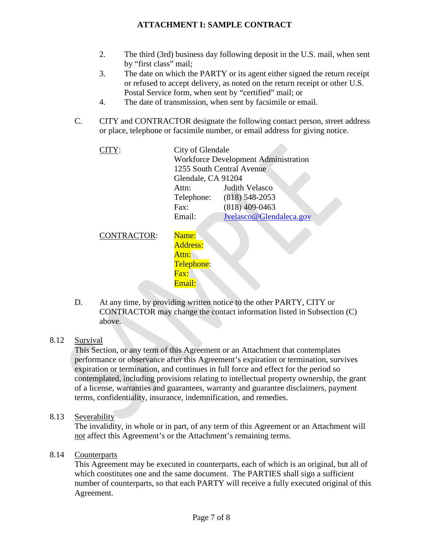- 2. The third (3rd) business day following deposit in the U.S. mail, when sent by "first class" mail;
- 3. The date on which the PARTY or its agent either signed the return receipt or refused to accept delivery, as noted on the return receipt or other U.S. Postal Service form, when sent by "certified" mail; or
- 4. The date of transmission, when sent by facsimile or email.
- C. CITY and CONTRACTOR designate the following contact person, street address or place, telephone or facsimile number, or email address for giving notice.

| CITY:              | City of Glendale<br><b>Workforce Development Administration</b><br>1255 South Central Avenue<br>Glendale, CA 91204 |                                                          |
|--------------------|--------------------------------------------------------------------------------------------------------------------|----------------------------------------------------------|
|                    | Attn:<br>Telephone:<br>Fax:                                                                                        | Judith Velasco<br>$(818) 548 - 2053$<br>$(818)$ 409-0463 |
|                    | Email:                                                                                                             | Jvelasco@Glendaleca.gov                                  |
| <b>CONTRACTOR:</b> | Name:                                                                                                              |                                                          |

Address: Attn: Telephone: Fax: Email:

D. At any time, by providing written notice to the other PARTY, CITY or CONTRACTOR may change the contact information listed in Subsection (C) above.

# 8.12 Survival

This Section, or any term of this Agreement or an Attachment that contemplates performance or observance after this Agreement's expiration or termination, survives expiration or termination, and continues in full force and effect for the period so contemplated, including provisions relating to intellectual property ownership, the grant of a license, warranties and guarantees, warranty and guarantee disclaimers, payment terms, confidentiality, insurance, indemnification, and remedies.

# 8.13 Severability

The invalidity, in whole or in part, of any term of this Agreement or an Attachment will not affect this Agreement's or the Attachment's remaining terms.

# 8.14 Counterparts

This Agreement may be executed in counterparts, each of which is an original, but all of which constitutes one and the same document. The PARTIES shall sign a sufficient number of counterparts, so that each PARTY will receive a fully executed original of this Agreement.